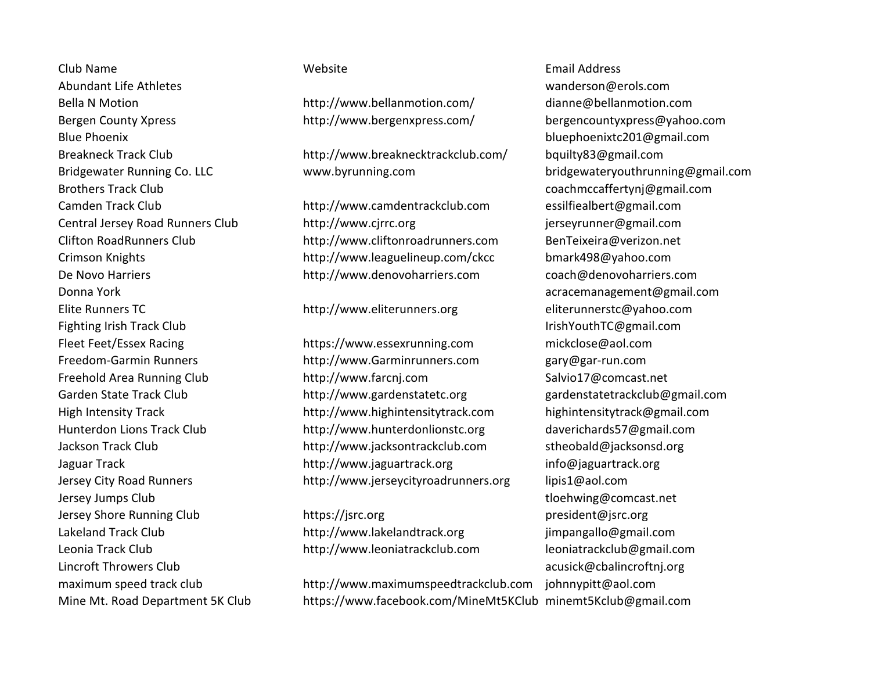Club Name Website Email Address Abundant Life Athletes wanderson@erols.com Bella N Motion **http://www.bellanmotion.com/** dianne@bellanmotion.com Bergen County Xpress example http://www.bergenxpress.com/ bergencountyxpress@yahoo.com Blue Phoenix bluephoenixtc201@gmail.com Brothers Track Club coachmccaffertynj@gmail.com Donna York acracemanagement@gmail.com Elite Runners TC http://www.eliterunners.org eliterunnerstc@yahoo.com Fighting Irish Track Club IrishYouthTC@gmail.com Jersey Jumps Club tloehwing@comcast.net Jersey Shore Running Club https://jsrc.org buttps://isrc.org president@jsrc.org Lakeland Track Club **http://www.lakelandtrack.org** jimpangallo@gmail.com Leonia Track Club http://www.leoniatrackclub.com leoniatrackclub@gmail.com Lincroft Throwers Club acusick@cbalincroftnj.org

Breakneck Track Club http://www.breaknecktrackclub.com/ bquilty83@gmail.com Bridgewater Running Co. LLC www.byrunning.com bridgewateryouthrunning@gmail.com

Camden Track Club http://www.camdentrackclub.com essilfiealbert@gmail.com Central Jersey Road Runners Club http://www.cjrrc.org in the serve interest of the server and the community of the http://www.cjrrc.org in the server of the server and the server and the server and the server and the serve Clifton RoadRunners Club http://www.cliftonroadrunners.com BenTeixeira@verizon.net Crimson Knights http://www.leaguelineup.com/ckcc bmark498@yahoo.com De Novo Harriers http://www.denovoharriers.com coach@denovoharriers.com

Fleet Feet/Essex Racing https://www.essexrunning.com mickclose@aol.com Freedom-Garmin Runners http://www.Garminrunners.com gary@gar-run.com Freehold Area Running Club http://www.farcnj.com Salvio17@comcast.net Garden State Track Club **http://www.gardenstatetc.org gardenstatetrackclub@gmail.com** High Intensity Track http://www.highintensitytrack.com highintensitytrack@gmail.com Hunterdon Lions Track Club http://www.hunterdonlionstc.org daverichards57@gmail.com Jackson Track Club **http://www.jacksontrackclub.com** stheobald@jacksonsd.org Jaguar Track http://www.jaguartrack.org info@jaguartrack.org Jersey City Road Runners http://www.jerseycityroadrunners.org lipis1@aol.com

maximum speed track club http://www.maximumspeedtrackclub.com johnnypitt@aol.com Mine Mt. Road Department 5K Club https://www.facebook.com/MineMt5KClub minemt5Kclub@gmail.com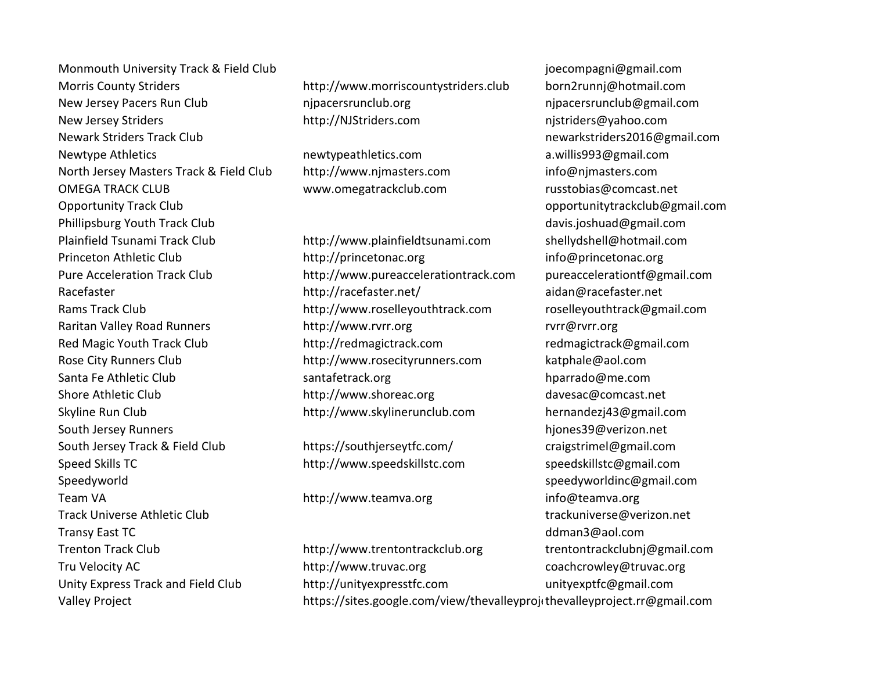Monmouth University Track & Field Club joecompagni@gmail.com Morris County Striders http://www.morriscountystriders.club born2runnj@hotmail.com New Jersey Pacers Run Club nipacersrunclub.org new nipacersrunclub@gmail.com New Jersey Striders **http://NJStriders.com** http://NJStriders.com nistriders@yahoo.com Newark Striders Track Club newarkstriders2016@gmail.com Newtype Athletics **newtypeathletics.com** a.willis993@gmail.com North Jersey Masters Track & Field Club http://www.njmasters.com info@njmasters.com OMEGA TRACK CLUB www.omegatrackclub.com russtobias@comcast.net Opportunity Track Club opportunitytrackclub@gmail.com Phillipsburg Youth Track Club davis.joshuad@gmail.com Plainfield Tsunami Track Club http://www.plainfieldtsunami.com shellydshell@hotmail.com South Jersey Runners https://www.facebook.com/induction.net/settleducer.com/induction.net/settleducer.com/induction.net/settleducer.com/induction.net/settleducer.com/induction.net/settleducer.com/induction.net/settleducer. South Jersey Track & Field Club https://southjerseytfc.com/ craigstrimel@gmail.com Speed Skills TC http://www.speedskillstc.com speedskillstc@gmail.com Speedyworld speedyworldinc@gmail.com Team VA http://www.teamva.org info@teamva.org Track Universe Athletic Club trackuniverse@verizon.net Transy East TC definition of the community of the community of the community of the community of the community of the community of the community of the community of the community of the community of the community of the co Trenton Track Club http://www.trentontrackclub.org trentontrackclubnj@gmail.com Tru Velocity AC http://www.truvac.org coachcrowley@truvac.org Unity Express Track and Field Club http://unityexpresstfc.com unityexptfc@gmail.com

Princeton Athletic Club http://princetonac.org info@princetonac.org Pure Acceleration Track Club http://www.pureaccelerationtrack.com pureaccelerationtf@gmail.com Racefaster http://racefaster.net/ aidan@racefaster.net Rams Track Club http://www.roselleyouthtrack.com roselleyouthtrack@gmail.com Raritan Valley Road Runners http://www.rvrr.org rvrr@rvrr.org Red Magic Youth Track Club http://redmagictrack.com entity redmagictrack@gmail.com Rose City Runners Club http://www.rosecityrunners.com katphale@aol.com Santa Fe Athletic Club Santafetrack.org https://www.fantafetrack.org hparrado@me.com Shore Athletic Club http://www.shoreac.org davesac@comcast.net Skyline Run Club http://www.skylinerunclub.com hernandezj43@gmail.com

Valley Project https://sites.google.com/view/thevalleyprojethevalleyproject.rr@gmail.com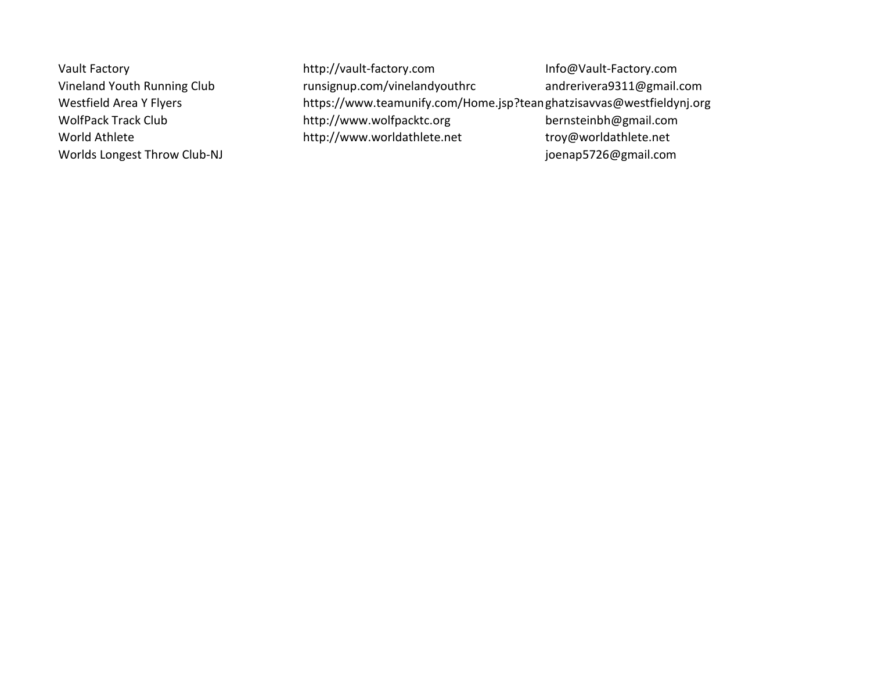Vault Factory http://vault-factory.com Info@Vault-Factory.com Vineland Youth Running Club runsignup.com/vinelandyouthrc andrerivera9311@gmail.com Westfield Area Y Flyers https://www.teamunify.com/Home.jsp?teanghatzisavvas@westfieldynj.org WolfPack Track Club http://www.wolfpacktc.org bernsteinbh@gmail.com World Athlete http://www.worldathlete.net troy@worldathlete.net Worlds Longest Throw Club-NJ and the community of the community of the community of the community of the community of the community of the community of the community of the community of the community of the community of th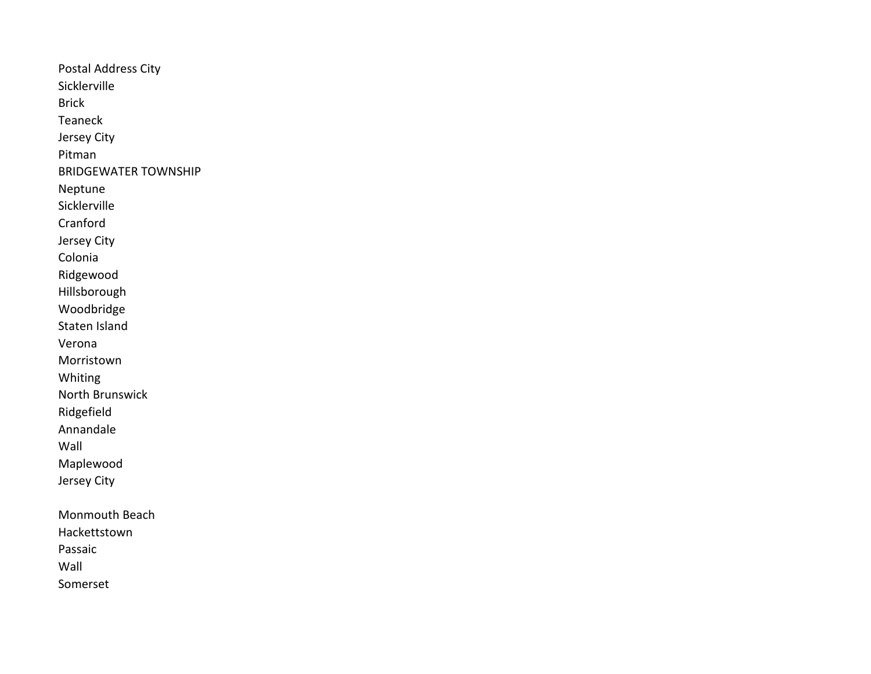Postal Address City Sicklerville Brick Teaneck Jersey City Pitman BRIDGEWATER TOWNSHIP Neptune Sicklerville Cranford Jersey City Colonia Ridgewood Hillsborough Woodbridge Staten Island Verona Morristown Whiting North Brunswick Ridgefield Annandale Wall Maplewood Jersey City Monmouth Beach Hackettstown Passaic Wall Somerset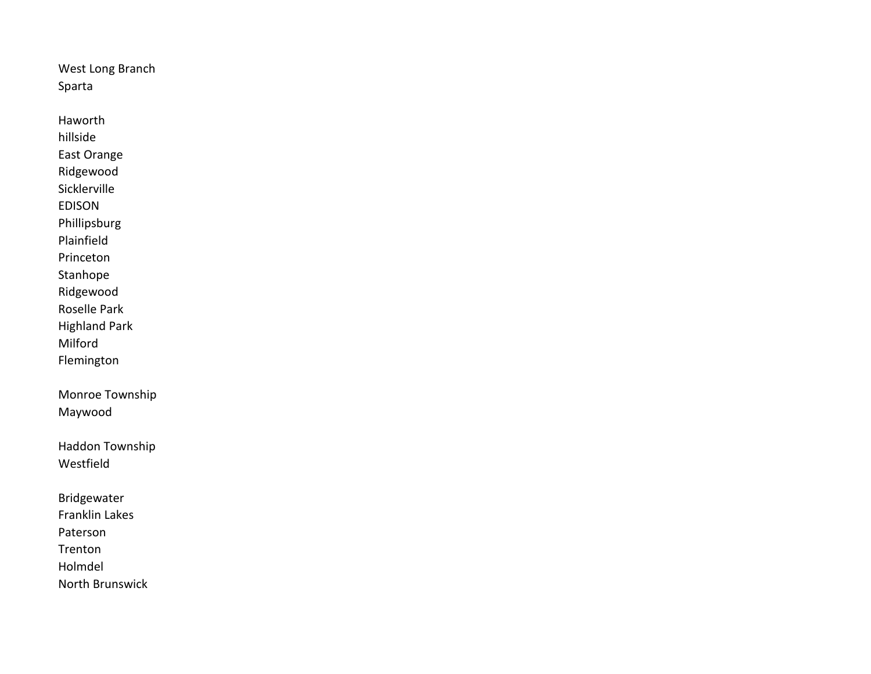West Long Branch Sparta

Haworth hillside East Orange Ridgewood Sicklerville EDISON Phillipsburg Plainfield Princeton Stanhope Ridgewood Roselle Park Highland Park Milford Flemington Monroe Township Maywood Haddon Township Westfield Bridgewater Franklin Lakes Paterson Trenton

Holmdel

North Brunswick